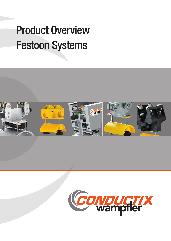# **Product Overview** Festoon Systems



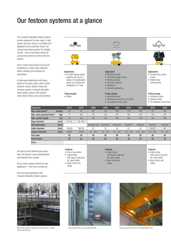### Our festoon systems at a glance

The Conductix-Wampfler festoon systems contain equipment for steel ropes, C-rails, square-rails and I-beams. It is flexible and adaptable to the customers needs. The energy transmission systems for straight-, circular- and curved-tracks contain all components needed to achieve the best solution.

Even in harsh environments such as silo installations or waste water treatment plants, reliability and durability are guaranteed.

In high speed applications with heavy loads such as grab cranes, ship to shore container cranes, stacker cranes and conveyor systems, Conductix-Wampfler heavy festoon systems with optional motor driven trolleys come into operation.



All sytems can be delivered pre-assembled. Old systems may be disassembled and disposed of by request.

Flat cable Round cable Drive

Do you need a special solution for your application? – Feel free to contact us!

Here are some applications with Conductix-Wampfler festoon systems:



Main power supply of a longitudinal scraper bridge in a waste water treatment plant





Hose-transportation in a truck washing facility example and the Power supply of the crab on an overhead bridge crane

- - with hook or ball joint
	-
	-
	-
- 
- 
- 
- 
- 
- for cable holder • Ideal control unit
- trolley

Features • Cable trolley with hook or ball joint

#### Features • Cable trolley

- for cable holder
- Ideal control unit
- trolley
- 

#### with hook or ball joint for cable holder • Ideal control unit

Features • One or two rollers • Cable trolley

trolley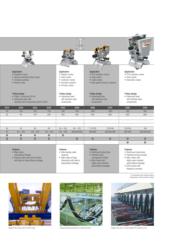

\*in combination with motorized trolleys \*\*depending on roller size/roller material







Supply of the turning-crab on an EOT-crane **Energy and data transmission on a steel-mill-crane** Supply of the crab on a fast travelling STS-container crane